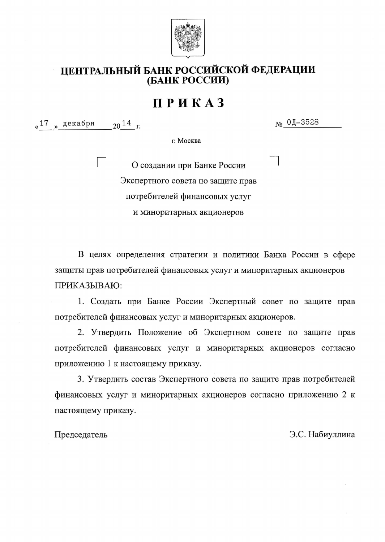

## ЦЕНТРАЛЬНЫЙ БАНК РОССИЙСКОЙ ФЕДЕРАЦИИ (БАНК РОССИИ)

# ПРИКАЗ

«<sup>17</sup> » декабря  $20^{14}$  r.  $_{N_2}$  01-3528

г. Москва

О создании при Банке России Экспертного совета по защите прав потребителей финансовых услуг и миноритарных акционеров

В целях определения стратегии и политики Банка России в сфере защиты прав потребителей финансовых услуг и миноритарных акционеров ПРИКАЗЫВАЮ:

1. Создать при Банке России Экспертный совет по защите прав потребителей финансовых услуг и миноритарных акционеров.

2. Утвердить Положение об Экспертном совете по защите прав потребителей финансовых услуг и миноритарных акционеров согласно приложению 1 к настоящему приказу.

3. Утвердить состав Экспертного совета по защите прав потребителей финансовых услуг и миноритарных акционеров согласно приложению 2 к настоящему приказу.

Председатель

Э.С. Набиуллина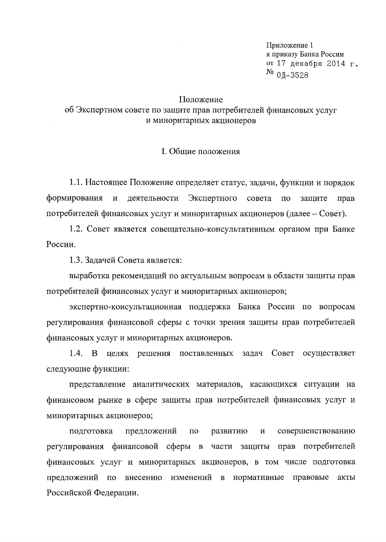Приложение 1 к приказу Банка России от 17 декабря 2014 г.  $N<sup>0</sup>$  01-3528

#### Положение

об Экспертном совете по защите прав потребителей финансовых услуг и миноритарных акционеров

#### I. Общие положения

1.1. Настоящее Положение определяет статус, задачи, функции и порядок деятельности Экспертного совета формирования  $\, {\rm N}$  $\overline{10}$ защите прав потребителей финансовых услуг и миноритарных акционеров (далее - Совет).

1.2. Совет является совещательно-консультативным органом при Банке России.

1.3. Задачей Совета является:

выработка рекомендаций по актуальным вопросам в области защиты прав потребителей финансовых услуг и миноритарных акционеров;

экспертно-консультационная поддержка Банка России по вопросам регулирования финансовой сферы с точки зрения защиты прав потребителей финансовых услуг и миноритарных акционеров.

1.4. В целях решения поставленных задач Совет осуществляет следующие функции:

представление аналитических материалов, касающихся ситуации на финансовом рынке в сфере защиты прав потребителей финансовых услуг и миноритарных акционеров;

предложений совершенствованию подготовка  $\overline{a}$ развитию  $\, {\bf N}$ регулирования финансовой сферы в части защиты прав потребителей финансовых услуг и миноритарных акционеров, в том числе подготовка предложений по внесению изменений в нормативные правовые акты Российской Федерации.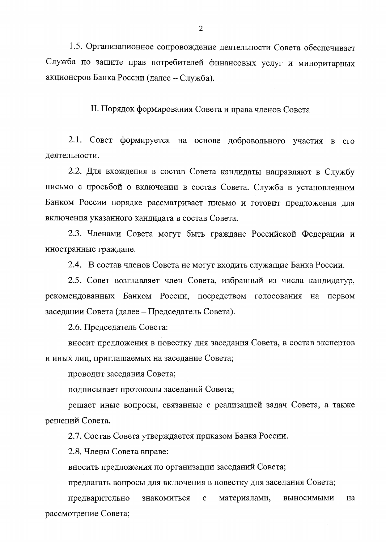1.5. Организационное сопровождение деятельности Совета обеспечивает Служба по защите прав потребителей финансовых услуг и миноритарных акционеров Банка России (далее - Служба).

II. Порядок формирования Совета и права членов Совета

2.1. Совет формируется на основе добровольного участия в его деятельности.

2.2. Для вхождения в состав Совета кандидаты направляют в Службу письмо с просьбой о включении в состав Совета. Служба в установленном Банком России порядке рассматривает письмо и готовит предложения для включения указанного кандидата в состав Совета.

2.3. Членами Совета могут быть граждане Российской Федерации и иностранные граждане.

2.4. В состав членов Совета не могут входить служащие Банка России.

2.5. Совет возглавляет член Совета, избранный из числа кандидатур, рекомендованных Банком России, посредством голосования на первом заседании Совета (далее – Председатель Совета).

2.6. Председатель Совета:

вносит предложения в повестку дня заседания Совета, в состав экспертов и иных лиц, приглашаемых на заседание Совета;

проводит заседания Совета;

подписывает протоколы заседаний Совета;

решает иные вопросы, связанные с реализацией задач Совета, а также решений Совета.

2.7. Состав Совета утверждается приказом Банка России.

2.8. Члены Совета вправе:

вносить предложения по организации заседаний Совета;

предлагать вопросы для включения в повестку дня заседания Совета;

материалами, выносимыми на предварительно знакомиться  $\mathbf{c}$ рассмотрение Совета;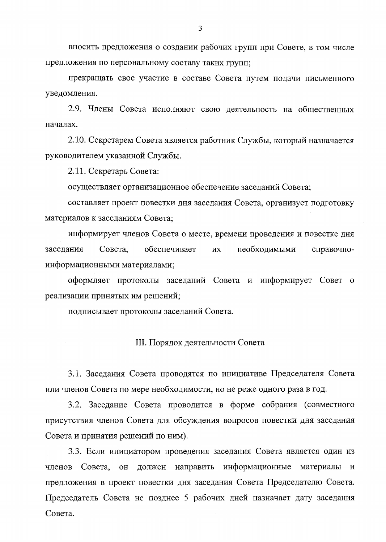вносить предложения о создании рабочих групп при Совете, в том числе предложения по персональному составу таких групп;

прекращать свое участие в составе Совета путем подачи письменного уведомления.

2.9. Члены Совета исполняют свою деятельность на общественных началах.

2.10. Секретарем Совета является работник Службы, который назначается руководителем указанной Службы.

2.11. Секретарь Совета:

осуществляет организационное обеспечение заседаний Совета;

составляет проект повестки дня заседания Совета, организует подготовку материалов к заседаниям Совета;

информирует членов Совета о месте, времени проведения и повестке дня обеспечивает заседания Совета. необходимыми ИХ справочноинформационными материалами;

оформляет протоколы заседаний Совета и информирует Совет о реализации принятых им решений;

подписывает протоколы заседаний Совета.

### III. Порядок деятельности Совета

3.1. Заседания Совета проводятся по инициативе Председателя Совета или членов Совета по мере необходимости, но не реже одного раза в год.

3.2. Заседание Совета проводится в форме собрания (совместного присутствия членов Совета для обсуждения вопросов повестки дня заседания Совета и принятия решений по ним).

3.3. Если инициатором проведения заседания Совета является один из членов Совета, OH должен направить информационные материалы  $\, {\rm N}$ предложения в проект повестки дня заседания Совета Председателю Совета. Председатель Совета не позднее 5 рабочих дней назначает дату заседания Совета.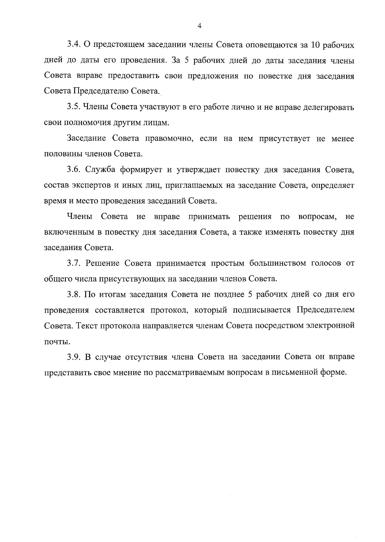3.4. О предстоящем заседании члены Совета оповещаются за 10 рабочих дней до даты его проведения. За 5 рабочих дней до даты заседания члены Совета вправе предоставить свои предложения по повестке дня заседания Совета Председателю Совета.

3.5. Члены Совета участвуют в его работе лично и не вправе делегировать свои полномочия другим лицам.

Заседание Совета правомочно, если на нем присутствует не менее половины членов Совета.

3.6. Служба формирует и утверждает повестку дня заседания Совета, состав экспертов и иных лиц, приглашаемых на заседание Совета, определяет время и место проведения заседаний Совета.

Члены Совета не вправе принимать решения  $\Pi$ O вопросам, He включенным в повестку дня заседания Совета, а также изменять повестку дня заседания Совета.

3.7. Решение Совета принимается простым большинством голосов от общего числа присутствующих на заседании членов Совета.

3.8. По итогам заседания Совета не позднее 5 рабочих дней со дня его проведения составляется протокол, который подписывается Председателем Совета. Текст протокола направляется членам Совета посредством электронной почты.

3.9. В случае отсутствия члена Совета на заседании Совета он вправе представить свое мнение по рассматриваемым вопросам в письменной форме.

 $\overline{\mathcal{A}}$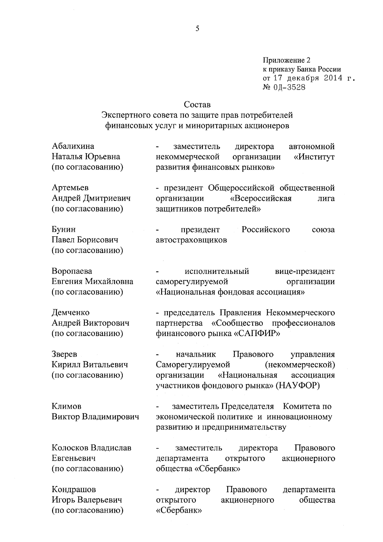Приложение 2 к приказу Банка России от 17 декабря 2014 г. № 0Д-3528

вице-президент

профессионалов

(некоммерческой)

управления

ассоциация

Правового

акционерного

организации

## Состав

## Экспертного совета по защите прав потребителей финансовых услуг и миноритарных акционеров

| Абалихина         | заместитель<br>$\blacksquare$ | директора             | автономной |
|-------------------|-------------------------------|-----------------------|------------|
| Наталья Юрьевна   | некоммерческой                | организации «Институт |            |
| (по согласованию) | развития финансовых рынков»   |                       |            |

Артемьев - президент Общероссийской общественной Андрей Дмитриевич «Всероссийская организации лига (по согласованию) защитников потребителей»

Бунин Российского президент союза Павел Борисович автостраховщиков (по согласованию)

саморегулируемой

начальник

Саморегулируемой

партнерства

организации

исполнительный

финансового рынка «САПФИР»

«Национальная фондовая ассоциация»

- председатель Правления Некоммерческого «Сообщество

Правового

«Национальная

Воропаева Евгения Михайловна (по согласованию)

Демченко Андрей Викторович (по согласованию)

Зверев Кирилл Витальевич (по согласованию)

Климов Виктор Владимирович

заместитель Председателя Комитета по экономической политике и инновационному развитию и предпринимательству

участников фондового рынка» (НАУФОР)

Колосков Владислав заместитель Евгеньевич департамента открытого общества «Сбербанк» (по согласованию)

Кондрашов директор Игорь Валерьевич открытого (по согласованию) «Сбербанк»

Правового департамента общества акционерного

директора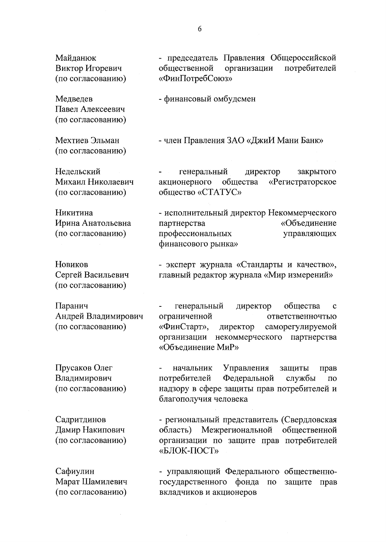Майданюк Виктор Игоревич (по согласованию)

Медведев Павел Алексеевич (по согласованию)

Мехтиев Эльман (по согласованию)

Недельский Михаил Николаевич (по согласованию)

Никитина Ирина Анатольевна (по согласованию)

Новиков Сергей Васильевич (по согласованию)

Паранич Андрей Владимирович (по согласованию)

генеральный директор общества  $\mathbf c$ ограниченной ответственночтью «ФинСтарт», директор саморегулируемой организации некоммерческого партнерства «Объединение МиР»

Прусаков Олег Владимирович (по согласованию)

начальник Управления защиты прав потребителей Федеральной службы  $\Pi$ O надзору в сфере защиты прав потребителей и благополучия человека

Садритдинов Дамир Накипович (по согласованию) - региональный представитель (Свердловская область) Межрегиональной общественной организации по защите прав потребителей «БЛОК-ПОСТ»

Сафиулин - управляющий Федерального общественно-Марат Шамилевич государственного фонда защите прав по (по согласованию) вкладчиков и акционеров

- председатель Правления Общероссийской общественной потребителей организации «ФинПотребСоюз»

- финансовый омбудсмен

- член Правления ЗАО «ДжиИ Мани Банк»

генеральный директор закрытого акционерного общества «Регистраторское общество «СТАТУС»

- исполнительный директор Некоммерческого партнерства «Объединение профессиональных управляющих финансового рынка»

- эксперт журнала «Стандарты и качество»,

главный редактор журнала «Мир измерений»